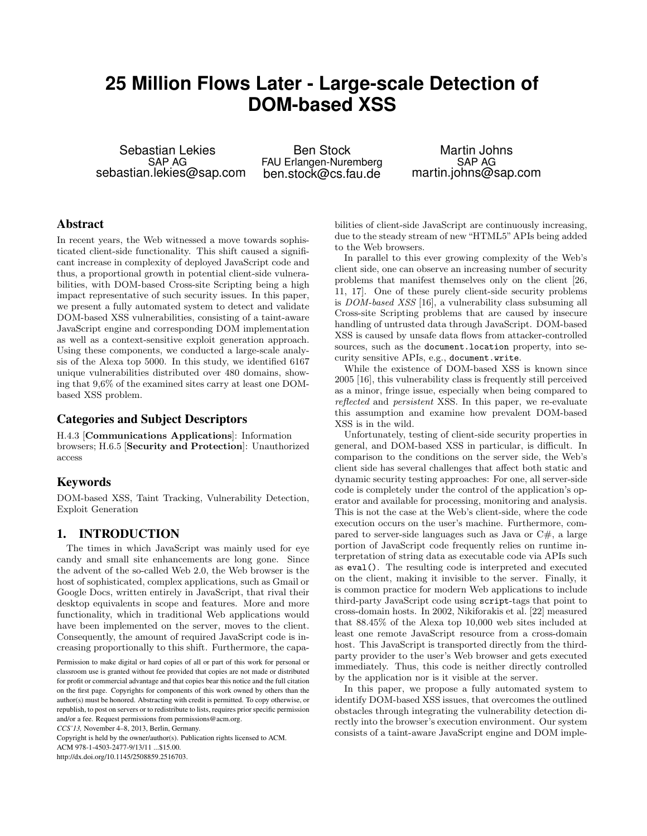# **25 Million Flows Later - Large-scale Detection of DOM-based XSS**

Sebastian Lekies SAP AG sebastian.lekies@sap.com

Ben Stock FAU Erlangen-Nuremberg ben.stock@cs.fau.de

Martin Johns SAP AG martin.johns@sap.com

# Abstract

In recent years, the Web witnessed a move towards sophisticated client-side functionality. This shift caused a significant increase in complexity of deployed JavaScript code and thus, a proportional growth in potential client-side vulnerabilities, with DOM-based Cross-site Scripting being a high impact representative of such security issues. In this paper, we present a fully automated system to detect and validate DOM-based XSS vulnerabilities, consisting of a taint-aware JavaScript engine and corresponding DOM implementation as well as a context-sensitive exploit generation approach. Using these components, we conducted a large-scale analysis of the Alexa top 5000. In this study, we identified 6167 unique vulnerabilities distributed over 480 domains, showing that 9,6% of the examined sites carry at least one DOMbased XSS problem.

# Categories and Subject Descriptors

H.4.3 [Communications Applications]: Information browsers; H.6.5 [Security and Protection]: Unauthorized access

# Keywords

DOM-based XSS, Taint Tracking, Vulnerability Detection, Exploit Generation

# 1. INTRODUCTION

The times in which JavaScript was mainly used for eye candy and small site enhancements are long gone. Since the advent of the so-called Web 2.0, the Web browser is the host of sophisticated, complex applications, such as Gmail or Google Docs, written entirely in JavaScript, that rival their desktop equivalents in scope and features. More and more functionality, which in traditional Web applications would have been implemented on the server, moves to the client. Consequently, the amount of required JavaScript code is increasing proportionally to this shift. Furthermore, the capa-

Copyright is held by the owner/author(s). Publication rights licensed to ACM.

ACM 978-1-4503-2477-9/13/11 ...\$15.00.

http://dx.doi.org/10.1145/2508859.2516703.

bilities of client-side JavaScript are continuously increasing, due to the steady stream of new "HTML5"APIs being added to the Web browsers.

In parallel to this ever growing complexity of the Web's client side, one can observe an increasing number of security problems that manifest themselves only on the client [26, 11, 17]. One of these purely client-side security problems is DOM-based XSS [16], a vulnerability class subsuming all Cross-site Scripting problems that are caused by insecure handling of untrusted data through JavaScript. DOM-based XSS is caused by unsafe data flows from attacker-controlled sources, such as the document.location property, into security sensitive APIs, e.g., document.write.

While the existence of DOM-based XSS is known since 2005 [16], this vulnerability class is frequently still perceived as a minor, fringe issue, especially when being compared to reflected and persistent XSS. In this paper, we re-evaluate this assumption and examine how prevalent DOM-based XSS is in the wild.

Unfortunately, testing of client-side security properties in general, and DOM-based XSS in particular, is difficult. In comparison to the conditions on the server side, the Web's client side has several challenges that affect both static and dynamic security testing approaches: For one, all server-side code is completely under the control of the application's operator and available for processing, monitoring and analysis. This is not the case at the Web's client-side, where the code execution occurs on the user's machine. Furthermore, compared to server-side languages such as Java or  $C#$ , a large portion of JavaScript code frequently relies on runtime interpretation of string data as executable code via APIs such as eval(). The resulting code is interpreted and executed on the client, making it invisible to the server. Finally, it is common practice for modern Web applications to include third-party JavaScript code using script-tags that point to cross-domain hosts. In 2002, Nikiforakis et al. [22] measured that 88.45% of the Alexa top 10,000 web sites included at least one remote JavaScript resource from a cross-domain host. This JavaScript is transported directly from the thirdparty provider to the user's Web browser and gets executed immediately. Thus, this code is neither directly controlled by the application nor is it visible at the server.

In this paper, we propose a fully automated system to identify DOM-based XSS issues, that overcomes the outlined obstacles through integrating the vulnerability detection directly into the browser's execution environment. Our system consists of a taint-aware JavaScript engine and DOM imple-

Permission to make digital or hard copies of all or part of this work for personal or classroom use is granted without fee provided that copies are not made or distributed for profit or commercial advantage and that copies bear this notice and the full citation on the first page. Copyrights for components of this work owned by others than the author(s) must be honored. Abstracting with credit is permitted. To copy otherwise, or republish, to post on servers or to redistribute to lists, requires prior specific permission and/or a fee. Request permissions from permissions@acm.org.

*CCS'13,* November 4–8, 2013, Berlin, Germany.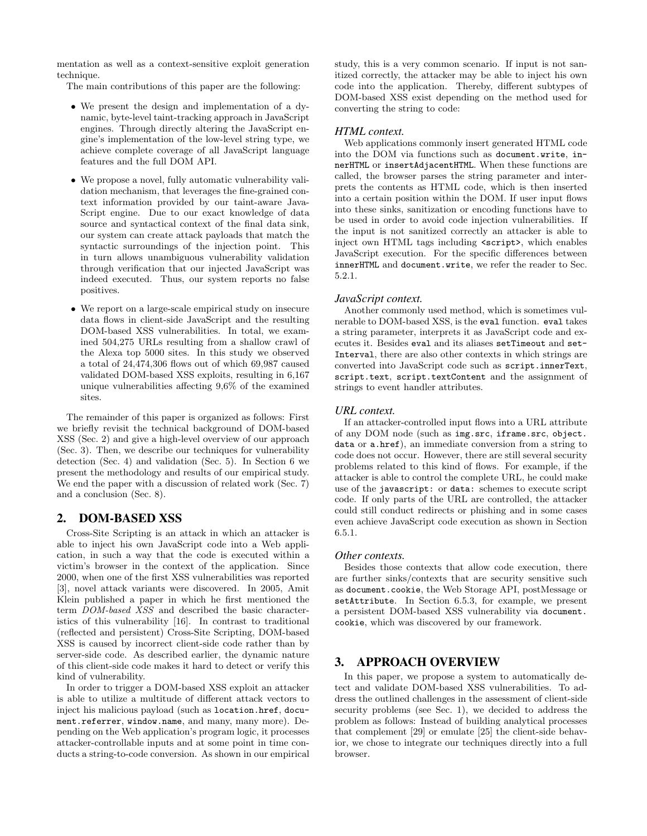mentation as well as a context-sensitive exploit generation technique.

The main contributions of this paper are the following:

- We present the design and implementation of a dynamic, byte-level taint-tracking approach in JavaScript engines. Through directly altering the JavaScript engine's implementation of the low-level string type, we achieve complete coverage of all JavaScript language features and the full DOM API.
- We propose a novel, fully automatic vulnerability validation mechanism, that leverages the fine-grained context information provided by our taint-aware Java-Script engine. Due to our exact knowledge of data source and syntactical context of the final data sink, our system can create attack payloads that match the syntactic surroundings of the injection point. This in turn allows unambiguous vulnerability validation through verification that our injected JavaScript was indeed executed. Thus, our system reports no false positives.
- We report on a large-scale empirical study on insecure data flows in client-side JavaScript and the resulting DOM-based XSS vulnerabilities. In total, we examined 504,275 URLs resulting from a shallow crawl of the Alexa top 5000 sites. In this study we observed a total of 24,474,306 flows out of which 69,987 caused validated DOM-based XSS exploits, resulting in 6,167 unique vulnerabilities affecting 9,6% of the examined sites.

The remainder of this paper is organized as follows: First we briefly revisit the technical background of DOM-based XSS (Sec. 2) and give a high-level overview of our approach (Sec. 3). Then, we describe our techniques for vulnerability detection (Sec. 4) and validation (Sec. 5). In Section 6 we present the methodology and results of our empirical study. We end the paper with a discussion of related work (Sec. 7) and a conclusion (Sec. 8).

# 2. DOM-BASED XSS

Cross-Site Scripting is an attack in which an attacker is able to inject his own JavaScript code into a Web application, in such a way that the code is executed within a victim's browser in the context of the application. Since 2000, when one of the first XSS vulnerabilities was reported [3], novel attack variants were discovered. In 2005, Amit Klein published a paper in which he first mentioned the term DOM-based XSS and described the basic characteristics of this vulnerability [16]. In contrast to traditional (reflected and persistent) Cross-Site Scripting, DOM-based XSS is caused by incorrect client-side code rather than by server-side code. As described earlier, the dynamic nature of this client-side code makes it hard to detect or verify this kind of vulnerability.

In order to trigger a DOM-based XSS exploit an attacker is able to utilize a multitude of different attack vectors to inject his malicious payload (such as location.href, document.referrer, window.name, and many, many more). Depending on the Web application's program logic, it processes attacker-controllable inputs and at some point in time conducts a string-to-code conversion. As shown in our empirical study, this is a very common scenario. If input is not sanitized correctly, the attacker may be able to inject his own code into the application. Thereby, different subtypes of DOM-based XSS exist depending on the method used for converting the string to code:

## *HTML context.*

Web applications commonly insert generated HTML code into the DOM via functions such as document.write, innerHTML or insertAdjacentHTML. When these functions are called, the browser parses the string parameter and interprets the contents as HTML code, which is then inserted into a certain position within the DOM. If user input flows into these sinks, sanitization or encoding functions have to be used in order to avoid code injection vulnerabilities. If the input is not sanitized correctly an attacker is able to inject own HTML tags including <script>, which enables JavaScript execution. For the specific differences between innerHTML and document.write, we refer the reader to Sec. 5.2.1.

#### *JavaScript context.*

Another commonly used method, which is sometimes vulnerable to DOM-based XSS, is the eval function. eval takes a string parameter, interprets it as JavaScript code and executes it. Besides eval and its aliases setTimeout and set-Interval, there are also other contexts in which strings are converted into JavaScript code such as script.innerText, script.text, script.textContent and the assignment of strings to event handler attributes.

#### *URL context.*

If an attacker-controlled input flows into a URL attribute of any DOM node (such as img.src, iframe.src, object. data or a.href), an immediate conversion from a string to code does not occur. However, there are still several security problems related to this kind of flows. For example, if the attacker is able to control the complete URL, he could make use of the javascript: or data: schemes to execute script code. If only parts of the URL are controlled, the attacker could still conduct redirects or phishing and in some cases even achieve JavaScript code execution as shown in Section 6.5.1.

#### *Other contexts.*

Besides those contexts that allow code execution, there are further sinks/contexts that are security sensitive such as document.cookie, the Web Storage API, postMessage or setAttribute. In Section 6.5.3, for example, we present a persistent DOM-based XSS vulnerability via document. cookie, which was discovered by our framework.

# 3. APPROACH OVERVIEW

In this paper, we propose a system to automatically detect and validate DOM-based XSS vulnerabilities. To address the outlined challenges in the assessment of client-side security problems (see Sec. 1), we decided to address the problem as follows: Instead of building analytical processes that complement [29] or emulate [25] the client-side behavior, we chose to integrate our techniques directly into a full browser.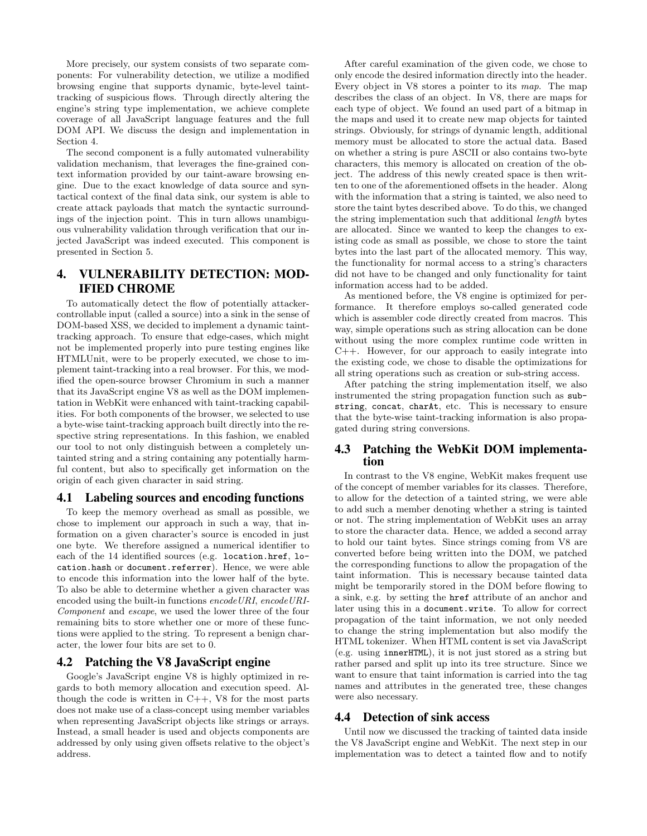More precisely, our system consists of two separate components: For vulnerability detection, we utilize a modified browsing engine that supports dynamic, byte-level tainttracking of suspicious flows. Through directly altering the engine's string type implementation, we achieve complete coverage of all JavaScript language features and the full DOM API. We discuss the design and implementation in Section 4.

The second component is a fully automated vulnerability validation mechanism, that leverages the fine-grained context information provided by our taint-aware browsing engine. Due to the exact knowledge of data source and syntactical context of the final data sink, our system is able to create attack payloads that match the syntactic surroundings of the injection point. This in turn allows unambiguous vulnerability validation through verification that our injected JavaScript was indeed executed. This component is presented in Section 5.

# 4. VULNERABILITY DETECTION: MOD-IFIED CHROME

To automatically detect the flow of potentially attackercontrollable input (called a source) into a sink in the sense of DOM-based XSS, we decided to implement a dynamic tainttracking approach. To ensure that edge-cases, which might not be implemented properly into pure testing engines like HTMLUnit, were to be properly executed, we chose to implement taint-tracking into a real browser. For this, we modified the open-source browser Chromium in such a manner that its JavaScript engine V8 as well as the DOM implementation in WebKit were enhanced with taint-tracking capabilities. For both components of the browser, we selected to use a byte-wise taint-tracking approach built directly into the respective string representations. In this fashion, we enabled our tool to not only distinguish between a completely untainted string and a string containing any potentially harmful content, but also to specifically get information on the origin of each given character in said string.

# 4.1 Labeling sources and encoding functions

To keep the memory overhead as small as possible, we chose to implement our approach in such a way, that information on a given character's source is encoded in just one byte. We therefore assigned a numerical identifier to each of the 14 identified sources (e.g. location.href, location.hash or document.referrer). Hence, we were able to encode this information into the lower half of the byte. To also be able to determine whether a given character was encoded using the built-in functions encodeURI, encodeURI-Component and escape, we used the lower three of the four remaining bits to store whether one or more of these functions were applied to the string. To represent a benign character, the lower four bits are set to 0.

#### 4.2 Patching the V8 JavaScript engine

Google's JavaScript engine V8 is highly optimized in regards to both memory allocation and execution speed. Although the code is written in  $C++$ , V8 for the most parts does not make use of a class-concept using member variables when representing JavaScript objects like strings or arrays. Instead, a small header is used and objects components are addressed by only using given offsets relative to the object's address.

After careful examination of the given code, we chose to only encode the desired information directly into the header. Every object in V8 stores a pointer to its map. The map describes the class of an object. In V8, there are maps for each type of object. We found an used part of a bitmap in the maps and used it to create new map objects for tainted strings. Obviously, for strings of dynamic length, additional memory must be allocated to store the actual data. Based on whether a string is pure ASCII or also contains two-byte characters, this memory is allocated on creation of the object. The address of this newly created space is then written to one of the aforementioned offsets in the header. Along with the information that a string is tainted, we also need to store the taint bytes described above. To do this, we changed the string implementation such that additional length bytes are allocated. Since we wanted to keep the changes to existing code as small as possible, we chose to store the taint bytes into the last part of the allocated memory. This way, the functionality for normal access to a string's characters did not have to be changed and only functionality for taint information access had to be added.

As mentioned before, the V8 engine is optimized for performance. It therefore employs so-called generated code which is assembler code directly created from macros. This way, simple operations such as string allocation can be done without using the more complex runtime code written in  $C_{++}$ . However, for our approach to easily integrate into the existing code, we chose to disable the optimizations for all string operations such as creation or sub-string access.

After patching the string implementation itself, we also instrumented the string propagation function such as substring, concat, charAt, etc. This is necessary to ensure that the byte-wise taint-tracking information is also propagated during string conversions.

# 4.3 Patching the WebKit DOM implementation

In contrast to the V8 engine, WebKit makes frequent use of the concept of member variables for its classes. Therefore, to allow for the detection of a tainted string, we were able to add such a member denoting whether a string is tainted or not. The string implementation of WebKit uses an array to store the character data. Hence, we added a second array to hold our taint bytes. Since strings coming from V8 are converted before being written into the DOM, we patched the corresponding functions to allow the propagation of the taint information. This is necessary because tainted data might be temporarily stored in the DOM before flowing to a sink, e.g. by setting the href attribute of an anchor and later using this in a document.write. To allow for correct propagation of the taint information, we not only needed to change the string implementation but also modify the HTML tokenizer. When HTML content is set via JavaScript (e.g. using innerHTML), it is not just stored as a string but rather parsed and split up into its tree structure. Since we want to ensure that taint information is carried into the tag names and attributes in the generated tree, these changes were also necessary.

## 4.4 Detection of sink access

Until now we discussed the tracking of tainted data inside the V8 JavaScript engine and WebKit. The next step in our implementation was to detect a tainted flow and to notify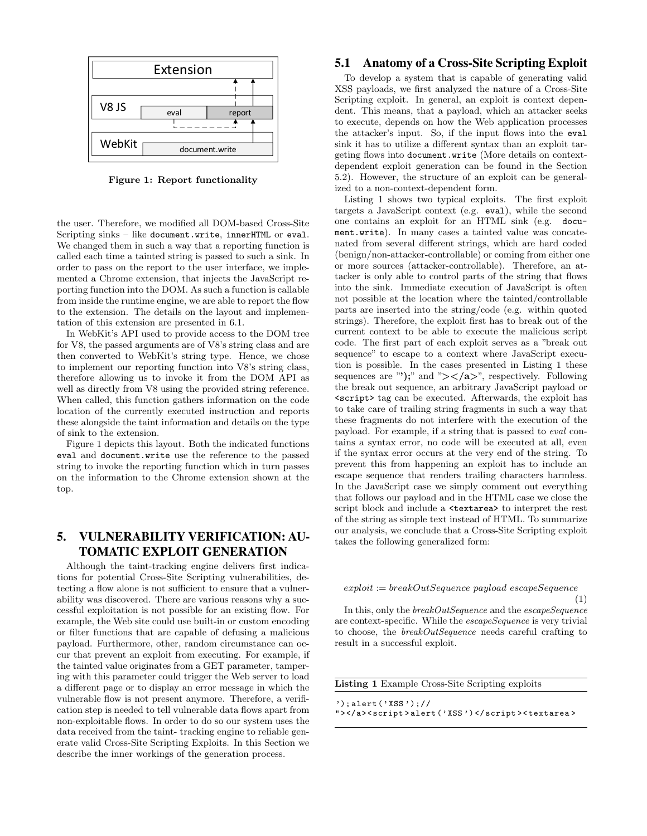

Figure 1: Report functionality

the user. Therefore, we modified all DOM-based Cross-Site Scripting sinks – like document.write, innerHTML or eval. We changed them in such a way that a reporting function is called each time a tainted string is passed to such a sink. In order to pass on the report to the user interface, we implemented a Chrome extension, that injects the JavaScript reporting function into the DOM. As such a function is callable from inside the runtime engine, we are able to report the flow to the extension. The details on the layout and implementation of this extension are presented in 6.1.

In WebKit's API used to provide access to the DOM tree for V8, the passed arguments are of V8's string class and are then converted to WebKit's string type. Hence, we chose to implement our reporting function into V8's string class, therefore allowing us to invoke it from the DOM API as well as directly from V8 using the provided string reference. When called, this function gathers information on the code location of the currently executed instruction and reports these alongside the taint information and details on the type of sink to the extension.

Figure 1 depicts this layout. Both the indicated functions eval and document.write use the reference to the passed string to invoke the reporting function which in turn passes on the information to the Chrome extension shown at the top.

# 5. VULNERABILITY VERIFICATION: AU-TOMATIC EXPLOIT GENERATION

Although the taint-tracking engine delivers first indications for potential Cross-Site Scripting vulnerabilities, detecting a flow alone is not sufficient to ensure that a vulnerability was discovered. There are various reasons why a successful exploitation is not possible for an existing flow. For example, the Web site could use built-in or custom encoding or filter functions that are capable of defusing a malicious payload. Furthermore, other, random circumstance can occur that prevent an exploit from executing. For example, if the tainted value originates from a GET parameter, tampering with this parameter could trigger the Web server to load a different page or to display an error message in which the vulnerable flow is not present anymore. Therefore, a verification step is needed to tell vulnerable data flows apart from non-exploitable flows. In order to do so our system uses the data received from the taint- tracking engine to reliable generate valid Cross-Site Scripting Exploits. In this Section we describe the inner workings of the generation process.

# 5.1 Anatomy of a Cross-Site Scripting Exploit

To develop a system that is capable of generating valid XSS payloads, we first analyzed the nature of a Cross-Site Scripting exploit. In general, an exploit is context dependent. This means, that a payload, which an attacker seeks to execute, depends on how the Web application processes the attacker's input. So, if the input flows into the eval sink it has to utilize a different syntax than an exploit targeting flows into document.write (More details on contextdependent exploit generation can be found in the Section 5.2). However, the structure of an exploit can be generalized to a non-context-dependent form.

Listing 1 shows two typical exploits. The first exploit targets a JavaScript context (e.g. eval), while the second one contains an exploit for an HTML sink (e.g. document.write). In many cases a tainted value was concatenated from several different strings, which are hard coded (benign/non-attacker-controllable) or coming from either one or more sources (attacker-controllable). Therefore, an attacker is only able to control parts of the string that flows into the sink. Immediate execution of JavaScript is often not possible at the location where the tainted/controllable parts are inserted into the string/code (e.g. within quoted strings). Therefore, the exploit first has to break out of the current context to be able to execute the malicious script code. The first part of each exploit serves as a "break out sequence" to escape to a context where JavaScript execution is possible. In the cases presented in Listing 1 these sequences are "');" and " $\geq$   $\lt$ /a $\geq$ ", respectively. Following the break out sequence, an arbitrary JavaScript payload or <script> tag can be executed. Afterwards, the exploit has to take care of trailing string fragments in such a way that these fragments do not interfere with the execution of the payload. For example, if a string that is passed to eval contains a syntax error, no code will be executed at all, even if the syntax error occurs at the very end of the string. To prevent this from happening an exploit has to include an escape sequence that renders trailing characters harmless. In the JavaScript case we simply comment out everything that follows our payload and in the HTML case we close the script block and include a **<textarea** to interpret the rest of the string as simple text instead of HTML. To summarize our analysis, we conclude that a Cross-Site Scripting exploit takes the following generalized form:

# $exploit := breakOutSequence$  payload escapeSequence

(1)

In this, only the breakOutSequence and the escapeSequence are context-specific. While the escapeSequence is very trivial to choose, the breakOutSequence needs careful crafting to result in a successful exploit.

| <b>Listing 1</b> Example Cross-Site Scripting exploits                            |
|-----------------------------------------------------------------------------------|
| $'$ ): alert ('XSS')://<br>"> <script>alert('XSS')</script> <textarea></textarea> |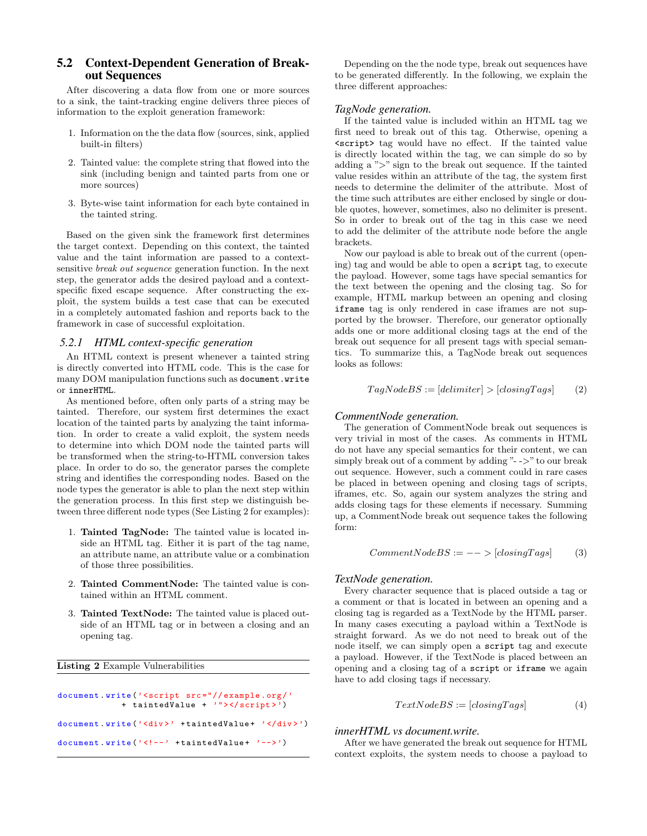# 5.2 Context-Dependent Generation of Breakout Sequences

After discovering a data flow from one or more sources to a sink, the taint-tracking engine delivers three pieces of information to the exploit generation framework:

- 1. Information on the the data flow (sources, sink, applied built-in filters)
- 2. Tainted value: the complete string that flowed into the sink (including benign and tainted parts from one or more sources)
- 3. Byte-wise taint information for each byte contained in the tainted string.

Based on the given sink the framework first determines the target context. Depending on this context, the tainted value and the taint information are passed to a contextsensitive break out sequence generation function. In the next step, the generator adds the desired payload and a contextspecific fixed escape sequence. After constructing the exploit, the system builds a test case that can be executed in a completely automated fashion and reports back to the framework in case of successful exploitation.

#### *5.2.1 HTML context-specific generation*

An HTML context is present whenever a tainted string is directly converted into HTML code. This is the case for many DOM manipulation functions such as document.write or innerHTML.

As mentioned before, often only parts of a string may be tainted. Therefore, our system first determines the exact location of the tainted parts by analyzing the taint information. In order to create a valid exploit, the system needs to determine into which DOM node the tainted parts will be transformed when the string-to-HTML conversion takes place. In order to do so, the generator parses the complete string and identifies the corresponding nodes. Based on the node types the generator is able to plan the next step within the generation process. In this first step we distinguish between three different node types (See Listing 2 for examples):

- 1. Tainted TagNode: The tainted value is located inside an HTML tag. Either it is part of the tag name, an attribute name, an attribute value or a combination of those three possibilities.
- 2. Tainted CommentNode: The tainted value is contained within an HTML comment.
- 3. Tainted TextNode: The tainted value is placed outside of an HTML tag or in between a closing and an opening tag.

Listing 2 Example Vulnerabilities

```
document.write ('<script src="//example.org/'
            + taintedValue + '"></script>')
document . write ('<div >' + taintedValue + ' </div >')
document.write ('<!--' +taintedValue+ '-->')
```
Depending on the the node type, break out sequences have to be generated differently. In the following, we explain the three different approaches:

#### *TagNode generation.*

If the tainted value is included within an HTML tag we first need to break out of this tag. Otherwise, opening a <script> tag would have no effect. If the tainted value is directly located within the tag, we can simple do so by adding a ">" sign to the break out sequence. If the tainted value resides within an attribute of the tag, the system first needs to determine the delimiter of the attribute. Most of the time such attributes are either enclosed by single or double quotes, however, sometimes, also no delimiter is present. So in order to break out of the tag in this case we need to add the delimiter of the attribute node before the angle brackets.

Now our payload is able to break out of the current (opening) tag and would be able to open a script tag, to execute the payload. However, some tags have special semantics for the text between the opening and the closing tag. So for example, HTML markup between an opening and closing iframe tag is only rendered in case iframes are not supported by the browser. Therefore, our generator optionally adds one or more additional closing tags at the end of the break out sequence for all present tags with special semantics. To summarize this, a TagNode break out sequences looks as follows:

$$
TagNodeBS := [delimeter] > [closingTags] \qquad (2)
$$

#### *CommentNode generation.*

The generation of CommentNode break out sequences is very trivial in most of the cases. As comments in HTML do not have any special semantics for their content, we can simply break out of a comment by adding "- ->" to our break out sequence. However, such a comment could in rare cases be placed in between opening and closing tags of scripts, iframes, etc. So, again our system analyzes the string and adds closing tags for these elements if necessary. Summing up, a CommentNode break out sequence takes the following form:

$$
CommentNodeBS := --- \gt [closingTags] \qquad (3)
$$

#### *TextNode generation.*

Every character sequence that is placed outside a tag or a comment or that is located in between an opening and a closing tag is regarded as a TextNode by the HTML parser. In many cases executing a payload within a TextNode is straight forward. As we do not need to break out of the node itself, we can simply open a script tag and execute a payload. However, if the TextNode is placed between an opening and a closing tag of a script or iframe we again have to add closing tags if necessary.

$$
TextNodeBS := [closingTags] \tag{4}
$$

#### *innerHTML vs document.write.*

After we have generated the break out sequence for HTML context exploits, the system needs to choose a payload to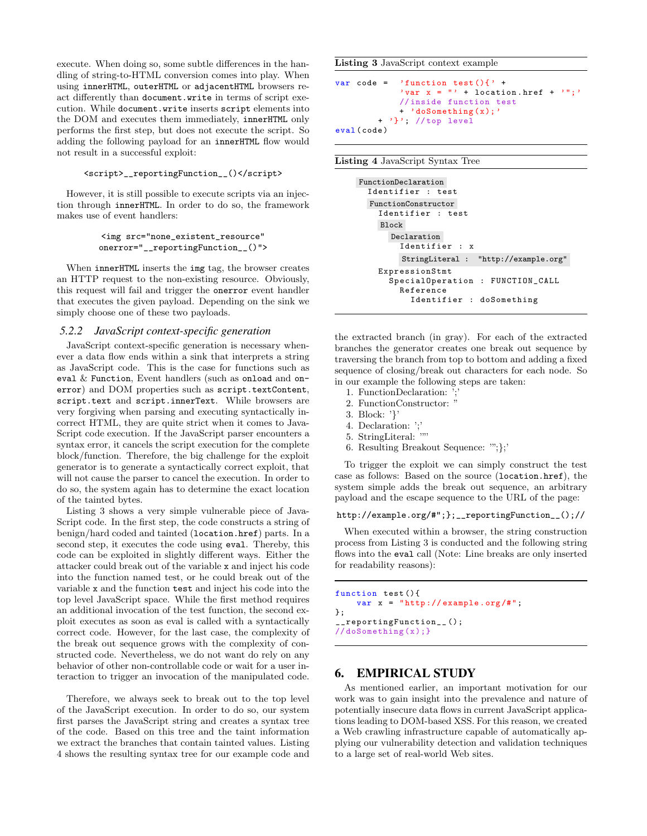execute. When doing so, some subtle differences in the handling of string-to-HTML conversion comes into play. When using innerHTML, outerHTML or adjacentHTML browsers react differently than document.write in terms of script execution. While document.write inserts script elements into the DOM and executes them immediately, innerHTML only performs the first step, but does not execute the script. So adding the following payload for an innerHTML flow would not result in a successful exploit:

#### <script>\_\_reportingFunction\_\_()</script>

However, it is still possible to execute scripts via an injection through innerHTML. In order to do so, the framework makes use of event handlers:

#### <img src="none\_existent\_resource" onerror="\_\_reportingFunction\_\_()">

When innerHTML inserts the img tag, the browser creates an HTTP request to the non-existing resource. Obviously, this request will fail and trigger the onerror event handler that executes the given payload. Depending on the sink we simply choose one of these two payloads.

#### *5.2.2 JavaScript context-specific generation*

JavaScript context-specific generation is necessary whenever a data flow ends within a sink that interprets a string as JavaScript code. This is the case for functions such as eval & Function, Event handlers (such as onload and onerror) and DOM properties such as script.textContent, script.text and script.innerText. While browsers are very forgiving when parsing and executing syntactically incorrect HTML, they are quite strict when it comes to Java-Script code execution. If the JavaScript parser encounters a syntax error, it cancels the script execution for the complete block/function. Therefore, the big challenge for the exploit generator is to generate a syntactically correct exploit, that will not cause the parser to cancel the execution. In order to do so, the system again has to determine the exact location of the tainted bytes.

Listing 3 shows a very simple vulnerable piece of Java-Script code. In the first step, the code constructs a string of benign/hard coded and tainted (location.href) parts. In a second step, it executes the code using eval. Thereby, this code can be exploited in slightly different ways. Either the attacker could break out of the variable x and inject his code into the function named test, or he could break out of the variable x and the function test and inject his code into the top level JavaScript space. While the first method requires an additional invocation of the test function, the second exploit executes as soon as eval is called with a syntactically correct code. However, for the last case, the complexity of the break out sequence grows with the complexity of constructed code. Nevertheless, we do not want do rely on any behavior of other non-controllable code or wait for a user interaction to trigger an invocation of the manipulated code.

Therefore, we always seek to break out to the top level of the JavaScript execution. In order to do so, our system first parses the JavaScript string and creates a syntax tree of the code. Based on this tree and the taint information we extract the branches that contain tainted values. Listing 4 shows the resulting syntax tree for our example code and

Listing 3 JavaScript context example

```
var code = 'function test(){' +
             'var x = "' + location.href + '";'
             // inside function test
             + 'doSomething (x); '
        + '}'; // top level
eval ( code )
```
#### Listing 4 JavaScript Syntax Tree

```
FunctionDeclaration
  Identifier : test
  FunctionConstructor
    Identifier : test
    Block
      Declaration
        Identifier : x
        StringLiteral : "http://example.org"
    ExpressionStmt
      SpecialOperation : FUNCTION_CALL
        Reference
          Identifier : doSomething
```
the extracted branch (in gray). For each of the extracted branches the generator creates one break out sequence by traversing the branch from top to bottom and adding a fixed sequence of closing/break out characters for each node. So in our example the following steps are taken:

- 1. FunctionDeclaration: ';'
- 2. FunctionConstructor: "
- 3. Block: '}'
- 4. Declaration: ';'
- 5. StringLiteral: '"'
- 6. Resulting Breakout Sequence: '";};'

To trigger the exploit we can simply construct the test case as follows: Based on the source (location.href), the system simple adds the break out sequence, an arbitrary payload and the escape sequence to the URL of the page:

# http://example.org/#";};\_\_reportingFunction\_\_();//

When executed within a browser, the string construction process from Listing 3 is conducted and the following string flows into the eval call (Note: Line breaks are only inserted for readability reasons):

```
function test (){
    var x = " http :// example . org /#";
};
 _reportingFunction__();
// doSomething (x);}
```
# 6. EMPIRICAL STUDY

As mentioned earlier, an important motivation for our work was to gain insight into the prevalence and nature of potentially insecure data flows in current JavaScript applications leading to DOM-based XSS. For this reason, we created a Web crawling infrastructure capable of automatically applying our vulnerability detection and validation techniques to a large set of real-world Web sites.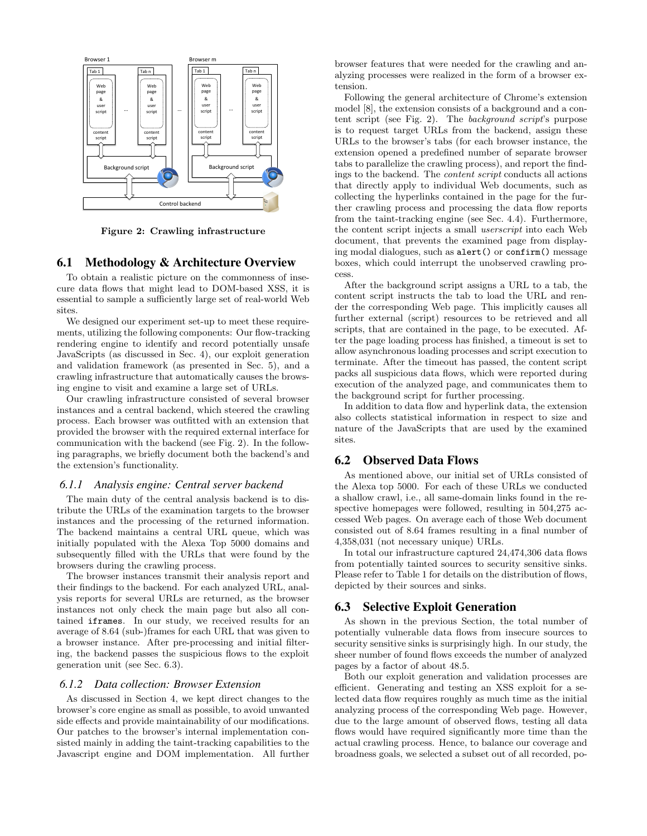

Figure 2: Crawling infrastructure

# 6.1 Methodology & Architecture Overview

To obtain a realistic picture on the commonness of insecure data flows that might lead to DOM-based XSS, it is essential to sample a sufficiently large set of real-world Web sites.

We designed our experiment set-up to meet these requirements, utilizing the following components: Our flow-tracking rendering engine to identify and record potentially unsafe JavaScripts (as discussed in Sec. 4), our exploit generation and validation framework (as presented in Sec. 5), and a crawling infrastructure that automatically causes the browsing engine to visit and examine a large set of URLs.

Our crawling infrastructure consisted of several browser instances and a central backend, which steered the crawling process. Each browser was outfitted with an extension that provided the browser with the required external interface for communication with the backend (see Fig. 2). In the following paragraphs, we briefly document both the backend's and the extension's functionality.

#### *6.1.1 Analysis engine: Central server backend*

The main duty of the central analysis backend is to distribute the URLs of the examination targets to the browser instances and the processing of the returned information. The backend maintains a central URL queue, which was initially populated with the Alexa Top 5000 domains and subsequently filled with the URLs that were found by the browsers during the crawling process.

The browser instances transmit their analysis report and their findings to the backend. For each analyzed URL, analysis reports for several URLs are returned, as the browser instances not only check the main page but also all contained iframes. In our study, we received results for an average of 8.64 (sub-)frames for each URL that was given to a browser instance. After pre-processing and initial filtering, the backend passes the suspicious flows to the exploit generation unit (see Sec. 6.3).

#### *6.1.2 Data collection: Browser Extension*

As discussed in Section 4, we kept direct changes to the browser's core engine as small as possible, to avoid unwanted side effects and provide maintainability of our modifications. Our patches to the browser's internal implementation consisted mainly in adding the taint-tracking capabilities to the Javascript engine and DOM implementation. All further

browser features that were needed for the crawling and analyzing processes were realized in the form of a browser extension.

Following the general architecture of Chrome's extension model [8], the extension consists of a background and a content script (see Fig. 2). The background script's purpose is to request target URLs from the backend, assign these URLs to the browser's tabs (for each browser instance, the extension opened a predefined number of separate browser tabs to parallelize the crawling process), and report the findings to the backend. The content script conducts all actions that directly apply to individual Web documents, such as collecting the hyperlinks contained in the page for the further crawling process and processing the data flow reports from the taint-tracking engine (see Sec. 4.4). Furthermore, the content script injects a small userscript into each Web document, that prevents the examined page from displaying modal dialogues, such as alert() or confirm() message boxes, which could interrupt the unobserved crawling process.

After the background script assigns a URL to a tab, the content script instructs the tab to load the URL and render the corresponding Web page. This implicitly causes all further external (script) resources to be retrieved and all scripts, that are contained in the page, to be executed. After the page loading process has finished, a timeout is set to allow asynchronous loading processes and script execution to terminate. After the timeout has passed, the content script packs all suspicious data flows, which were reported during execution of the analyzed page, and communicates them to the background script for further processing.

In addition to data flow and hyperlink data, the extension also collects statistical information in respect to size and nature of the JavaScripts that are used by the examined sites.

## 6.2 Observed Data Flows

As mentioned above, our initial set of URLs consisted of the Alexa top 5000. For each of these URLs we conducted a shallow crawl, i.e., all same-domain links found in the respective homepages were followed, resulting in 504,275 accessed Web pages. On average each of those Web document consisted out of 8.64 frames resulting in a final number of 4,358,031 (not necessary unique) URLs.

In total our infrastructure captured 24,474,306 data flows from potentially tainted sources to security sensitive sinks. Please refer to Table 1 for details on the distribution of flows, depicted by their sources and sinks.

# 6.3 Selective Exploit Generation

As shown in the previous Section, the total number of potentially vulnerable data flows from insecure sources to security sensitive sinks is surprisingly high. In our study, the sheer number of found flows exceeds the number of analyzed pages by a factor of about 48.5.

Both our exploit generation and validation processes are efficient. Generating and testing an XSS exploit for a selected data flow requires roughly as much time as the initial analyzing process of the corresponding Web page. However, due to the large amount of observed flows, testing all data flows would have required significantly more time than the actual crawling process. Hence, to balance our coverage and broadness goals, we selected a subset out of all recorded, po-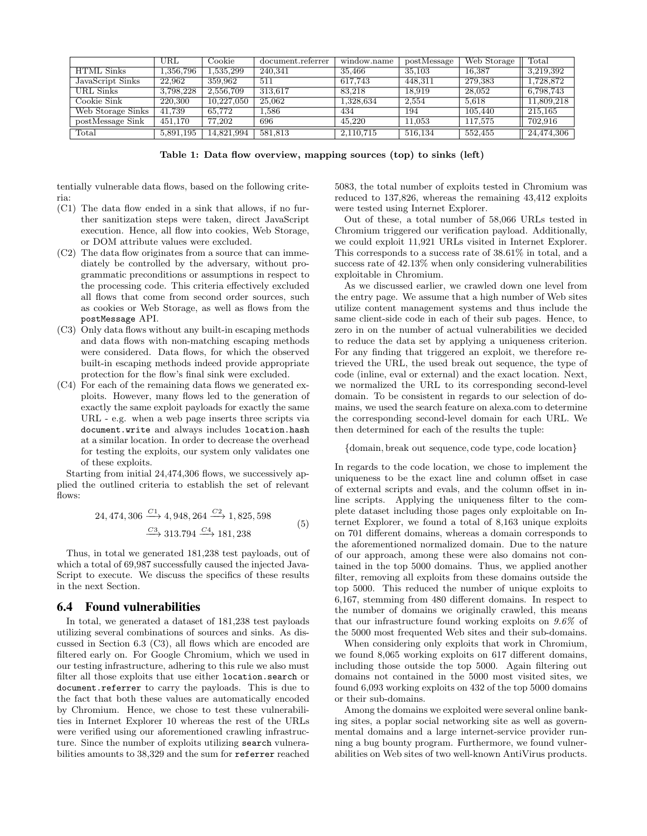|                   | $_{\rm URL}$ | Cookie     | document.referrer | window.name | postMessage | Web Storage | Total      |
|-------------------|--------------|------------|-------------------|-------------|-------------|-------------|------------|
| <b>HTML Sinks</b> | 1.356.796    | 1.535.299  | 240,341           | 35.466      | 35.103      | 16.387      | 3.219.392  |
| JavaScript Sinks  | 22,962       | 359,962    | 511               | 617.743     | 448.311     | 279.383     | 1,728,872  |
| URL Sinks         | 3,798,228    | 2,556,709  | 313.617           | 83.218      | 18.919      | 28,052      | 6,798,743  |
| Cookie Sink       | 220,300      | 10,227,050 | 25,062            | 1,328,634   | 2.554       | 5.618       | 11,809,218 |
| Web Storage Sinks | 41,739       | 65.772     | .586              | 434         | 194         | 105,440     | 215.165    |
| postMessage Sink  | 451.170      | 77.202     | 696               | 45.220      | 11.053      | 117,575     | 702.916    |
| Total             | 5,891,195    | 14.821.994 | 581.813           | 2,110,715   | 516.134     | 552,455     | 24,474,306 |

Table 1: Data flow overview, mapping sources (top) to sinks (left)

tentially vulnerable data flows, based on the following criteria:

- (C1) The data flow ended in a sink that allows, if no further sanitization steps were taken, direct JavaScript execution. Hence, all flow into cookies, Web Storage, or DOM attribute values were excluded.
- (C2) The data flow originates from a source that can immediately be controlled by the adversary, without programmatic preconditions or assumptions in respect to the processing code. This criteria effectively excluded all flows that come from second order sources, such as cookies or Web Storage, as well as flows from the postMessage API.
- (C3) Only data flows without any built-in escaping methods and data flows with non-matching escaping methods were considered. Data flows, for which the observed built-in escaping methods indeed provide appropriate protection for the flow's final sink were excluded.
- (C4) For each of the remaining data flows we generated exploits. However, many flows led to the generation of exactly the same exploit payloads for exactly the same URL - e.g. when a web page inserts three scripts via document.write and always includes location.hash at a similar location. In order to decrease the overhead for testing the exploits, our system only validates one of these exploits.

Starting from initial 24,474,306 flows, we successively applied the outlined criteria to establish the set of relevant flows:

$$
24,474,306 \xrightarrow{C1} 4,948,264 \xrightarrow{C2} 1,825,598
$$
  

$$
\xrightarrow{C3} 313.794 \xrightarrow{C4} 181,238
$$
 (5)

Thus, in total we generated 181,238 test payloads, out of which a total of 69,987 successfully caused the injected Java-Script to execute. We discuss the specifics of these results in the next Section.

# 6.4 Found vulnerabilities

In total, we generated a dataset of 181,238 test payloads utilizing several combinations of sources and sinks. As discussed in Section 6.3 (C3), all flows which are encoded are filtered early on. For Google Chromium, which we used in our testing infrastructure, adhering to this rule we also must filter all those exploits that use either location.search or document.referrer to carry the payloads. This is due to the fact that both these values are automatically encoded by Chromium. Hence, we chose to test these vulnerabilities in Internet Explorer 10 whereas the rest of the URLs were verified using our aforementioned crawling infrastructure. Since the number of exploits utilizing search vulnerabilities amounts to 38,329 and the sum for referrer reached 5083, the total number of exploits tested in Chromium was reduced to 137,826, whereas the remaining 43,412 exploits were tested using Internet Explorer.

Out of these, a total number of 58,066 URLs tested in Chromium triggered our verification payload. Additionally, we could exploit 11,921 URLs visited in Internet Explorer. This corresponds to a success rate of 38.61% in total, and a success rate of 42.13% when only considering vulnerabilities exploitable in Chromium.

As we discussed earlier, we crawled down one level from the entry page. We assume that a high number of Web sites utilize content management systems and thus include the same client-side code in each of their sub pages. Hence, to zero in on the number of actual vulnerabilities we decided to reduce the data set by applying a uniqueness criterion. For any finding that triggered an exploit, we therefore retrieved the URL, the used break out sequence, the type of code (inline, eval or external) and the exact location. Next, we normalized the URL to its corresponding second-level domain. To be consistent in regards to our selection of domains, we used the search feature on alexa.com to determine the corresponding second-level domain for each URL. We then determined for each of the results the tuple:

{domain, break out sequence, code type, code location}

In regards to the code location, we chose to implement the uniqueness to be the exact line and column offset in case of external scripts and evals, and the column offset in inline scripts. Applying the uniqueness filter to the complete dataset including those pages only exploitable on Internet Explorer, we found a total of 8,163 unique exploits on 701 different domains, whereas a domain corresponds to the aforementioned normalized domain. Due to the nature of our approach, among these were also domains not contained in the top 5000 domains. Thus, we applied another filter, removing all exploits from these domains outside the top 5000. This reduced the number of unique exploits to 6,167, stemming from 480 different domains. In respect to the number of domains we originally crawled, this means that our infrastructure found working exploits on 9.6% of the 5000 most frequented Web sites and their sub-domains.

When considering only exploits that work in Chromium, we found 8,065 working exploits on 617 different domains, including those outside the top 5000. Again filtering out domains not contained in the 5000 most visited sites, we found 6,093 working exploits on 432 of the top 5000 domains or their sub-domains.

Among the domains we exploited were several online banking sites, a poplar social networking site as well as governmental domains and a large internet-service provider running a bug bounty program. Furthermore, we found vulnerabilities on Web sites of two well-known AntiVirus products.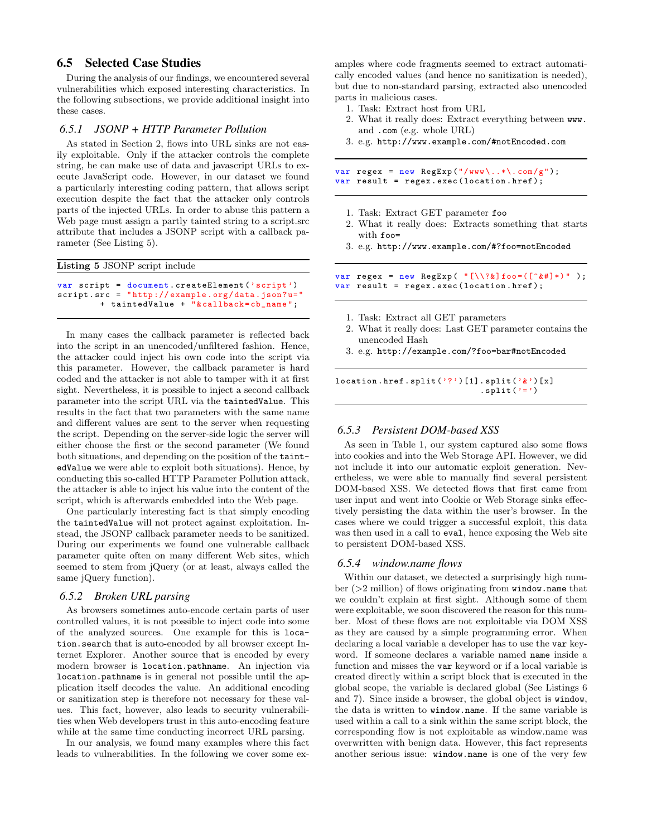# 6.5 Selected Case Studies

During the analysis of our findings, we encountered several vulnerabilities which exposed interesting characteristics. In the following subsections, we provide additional insight into these cases.

# *6.5.1 JSONP + HTTP Parameter Pollution*

As stated in Section 2, flows into URL sinks are not easily exploitable. Only if the attacker controls the complete string, he can make use of data and javascript URLs to execute JavaScript code. However, in our dataset we found a particularly interesting coding pattern, that allows script execution despite the fact that the attacker only controls parts of the injected URLs. In order to abuse this pattern a Web page must assign a partly tainted string to a script.src attribute that includes a JSONP script with a callback parameter (See Listing 5).

Listing 5 JSONP script include

```
var script = document . createElement ('script ')
script . src = " http :// example .org / data . json ?u="
         + taintedValue + "&callback=cb_name";
```
In many cases the callback parameter is reflected back into the script in an unencoded/unfiltered fashion. Hence, the attacker could inject his own code into the script via this parameter. However, the callback parameter is hard coded and the attacker is not able to tamper with it at first sight. Nevertheless, it is possible to inject a second callback parameter into the script URL via the taintedValue. This results in the fact that two parameters with the same name and different values are sent to the server when requesting the script. Depending on the server-side logic the server will either choose the first or the second parameter (We found both situations, and depending on the position of the taintedValue we were able to exploit both situations). Hence, by conducting this so-called HTTP Parameter Pollution attack, the attacker is able to inject his value into the content of the script, which is afterwards embedded into the Web page.

One particularly interesting fact is that simply encoding the taintedValue will not protect against exploitation. Instead, the JSONP callback parameter needs to be sanitized. During our experiments we found one vulnerable callback parameter quite often on many different Web sites, which seemed to stem from jQuery (or at least, always called the same jQuery function).

#### *6.5.2 Broken URL parsing*

As browsers sometimes auto-encode certain parts of user controlled values, it is not possible to inject code into some of the analyzed sources. One example for this is location.search that is auto-encoded by all browser except Internet Explorer. Another source that is encoded by every modern browser is location.pathname. An injection via location.pathname is in general not possible until the application itself decodes the value. An additional encoding or sanitization step is therefore not necessary for these values. This fact, however, also leads to security vulnerabilities when Web developers trust in this auto-encoding feature while at the same time conducting incorrect URL parsing.

In our analysis, we found many examples where this fact leads to vulnerabilities. In the following we cover some examples where code fragments seemed to extract automatically encoded values (and hence no sanitization is needed), but due to non-standard parsing, extracted also unencoded parts in malicious cases.

- 1. Task: Extract host from URL
- 2. What it really does: Extract everything between www. and .com (e.g. whole URL)
- 3. e.g. http://www.example.com/#notEncoded.com

```
var regex = new RegExp("/www \ldots * \ldots com/g");
var result = regex.exec(location.href);
```
- 1. Task: Extract GET parameter foo
- 2. What it really does: Extracts something that starts with foo=
- 3. e.g. http://www.example.com/#?foo=notEncoded

var regex = new RegExp(  $"\left[\setminus?\&\right]$  foo =  $(\left[\hat{z}\#]\ast\right)$  " ); var result = regex.exec(location.href);

- 1. Task: Extract all GET parameters
- 2. What it really does: Last GET parameter contains the unencoded Hash
- 3. e.g. http://example.com/?foo=bar#notEncoded

location.href.split('?')[1].split('&')[x] .  $split$  (  $\rangle = \prime$  )

# *6.5.3 Persistent DOM-based XSS*

As seen in Table 1, our system captured also some flows into cookies and into the Web Storage API. However, we did not include it into our automatic exploit generation. Nevertheless, we were able to manually find several persistent DOM-based XSS. We detected flows that first came from user input and went into Cookie or Web Storage sinks effectively persisting the data within the user's browser. In the cases where we could trigger a successful exploit, this data was then used in a call to eval, hence exposing the Web site to persistent DOM-based XSS.

#### *6.5.4 window.name flows*

Within our dataset, we detected a surprisingly high number  $(2 \text{ million})$  of flows originating from window.name that we couldn't explain at first sight. Although some of them were exploitable, we soon discovered the reason for this number. Most of these flows are not exploitable via DOM XSS as they are caused by a simple programming error. When declaring a local variable a developer has to use the var keyword. If someone declares a variable named name inside a function and misses the var keyword or if a local variable is created directly within a script block that is executed in the global scope, the variable is declared global (See Listings 6 and 7). Since inside a browser, the global object is window, the data is written to window.name. If the same variable is used within a call to a sink within the same script block, the corresponding flow is not exploitable as window.name was overwritten with benign data. However, this fact represents another serious issue: window.name is one of the very few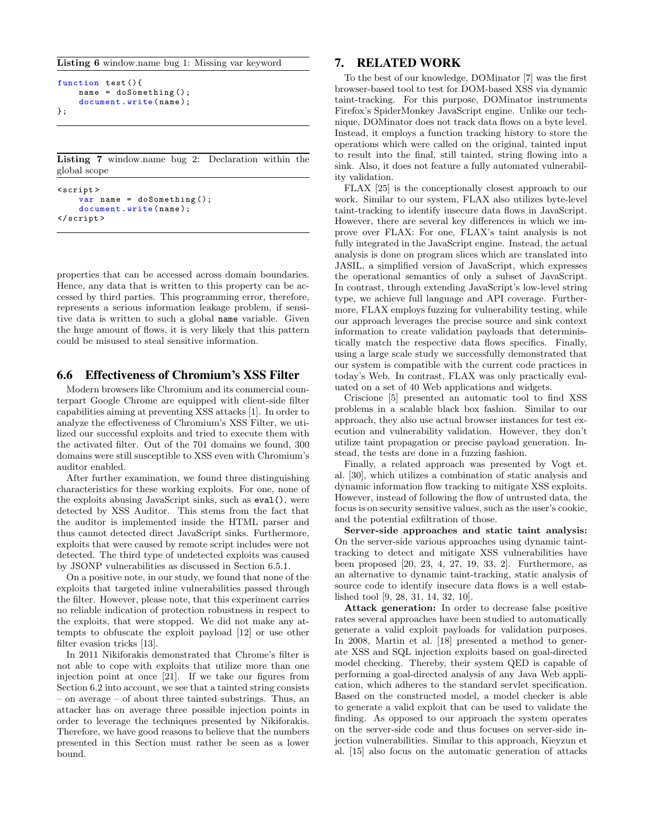Listing 6 window.name bug 1: Missing var keyword

```
function test (){
    name = doSomething ();
    document.write (name);
};
```
Listing 7 window.name bug 2: Declaration within the global scope

```
<script >
    var name = doSomething ();
    document.write (name);
</script >
```
properties that can be accessed across domain boundaries. Hence, any data that is written to this property can be accessed by third parties. This programming error, therefore, represents a serious information leakage problem, if sensitive data is written to such a global name variable. Given the huge amount of flows, it is very likely that this pattern could be misused to steal sensitive information.

# 6.6 Effectiveness of Chromium's XSS Filter

Modern browsers like Chromium and its commercial counterpart Google Chrome are equipped with client-side filter capabilities aiming at preventing XSS attacks [1]. In order to analyze the effectiveness of Chromium's XSS Filter, we utilized our successful exploits and tried to execute them with the activated filter. Out of the 701 domains we found, 300 domains were still susceptible to XSS even with Chromium's auditor enabled.

After further examination, we found three distinguishing characteristics for these working exploits. For one, none of the exploits abusing JavaScript sinks, such as eval(), were detected by XSS Auditor. This stems from the fact that the auditor is implemented inside the HTML parser and thus cannot detected direct JavaScript sinks. Furthermore, exploits that were caused by remote script includes were not detected. The third type of undetected exploits was caused by JSONP vulnerabilities as discussed in Section 6.5.1.

On a positive note, in our study, we found that none of the exploits that targeted inline vulnerabilities passed through the filter. However, please note, that this experiment carries no reliable indication of protection robustness in respect to the exploits, that were stopped. We did not make any attempts to obfuscate the exploit payload [12] or use other filter evasion tricks [13].

In 2011 Nikiforakis demonstrated that Chrome's filter is not able to cope with exploits that utilize more than one injection point at once [21]. If we take our figures from Section 6.2 into account, we see that a tainted string consists – on average – of about three tainted substrings. Thus, an attacker has on average three possible injection points in order to leverage the techniques presented by Nikiforakis. Therefore, we have good reasons to believe that the numbers presented in this Section must rather be seen as a lower bound.

# 7. RELATED WORK

To the best of our knowledge, DOMinator [7] was the first browser-based tool to test for DOM-based XSS via dynamic taint-tracking. For this purpose, DOMinator instruments Firefox's SpiderMonkey JavaScript engine. Unlike our technique, DOMinator does not track data flows on a byte level. Instead, it employs a function tracking history to store the operations which were called on the original, tainted input to result into the final, still tainted, string flowing into a sink. Also, it does not feature a fully automated vulnerability validation.

FLAX [25] is the conceptionally closest approach to our work. Similar to our system, FLAX also utilizes byte-level taint-tracking to identify insecure data flows in JavaScript. However, there are several key differences in which we improve over FLAX: For one, FLAX's taint analysis is not fully integrated in the JavaScript engine. Instead, the actual analysis is done on program slices which are translated into JASIL, a simplified version of JavaScript, which expresses the operational semantics of only a subset of JavaScript. In contrast, through extending JavaScript's low-level string type, we achieve full language and API coverage. Furthermore, FLAX employs fuzzing for vulnerability testing, while our approach leverages the precise source and sink context information to create validation payloads that deterministically match the respective data flows specifics. Finally, using a large scale study we successfully demonstrated that our system is compatible with the current code practices in today's Web. In contrast, FLAX was only practically evaluated on a set of 40 Web applications and widgets.

Criscione [5] presented an automatic tool to find XSS problems in a scalable black box fashion. Similar to our approach, they also use actual browser instances for test execution and vulnerability validation. However, they don't utilize taint propagation or precise payload generation. Instead, the tests are done in a fuzzing fashion.

Finally, a related approach was presented by Vogt et. al. [30], which utilizes a combination of static analysis and dynamic information flow tracking to mitigate XSS exploits. However, instead of following the flow of untrusted data, the focus is on security sensitive values, such as the user's cookie, and the potential exfiltration of those.

Server-side approaches and static taint analysis: On the server-side various approaches using dynamic tainttracking to detect and mitigate XSS vulnerabilities have been proposed [20, 23, 4, 27, 19, 33, 2]. Furthermore, as an alternative to dynamic taint-tracking, static analysis of source code to identify insecure data flows is a well established tool [9, 28, 31, 14, 32, 10].

Attack generation: In order to decrease false positive rates several approaches have been studied to automatically generate a valid exploit payloads for validation purposes. In 2008, Martin et al. [18] presented a method to generate XSS and SQL injection exploits based on goal-directed model checking. Thereby, their system QED is capable of performing a goal-directed analysis of any Java Web application, which adheres to the standard servlet specification. Based on the constructed model, a model checker is able to generate a valid exploit that can be used to validate the finding. As opposed to our approach the system operates on the server-side code and thus focuses on server-side injection vulnerabilities. Similar to this approach, Kieyzun et al. [15] also focus on the automatic generation of attacks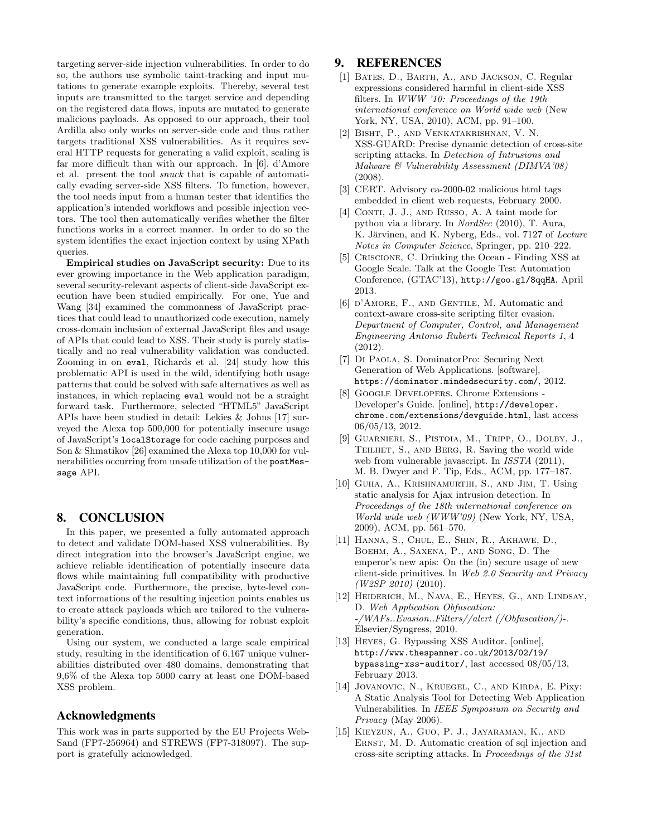targeting server-side injection vulnerabilities. In order to do so, the authors use symbolic taint-tracking and input mutations to generate example exploits. Thereby, several test inputs are transmitted to the target service and depending on the registered data flows, inputs are mutated to generate malicious payloads. As opposed to our approach, their tool Ardilla also only works on server-side code and thus rather targets traditional XSS vulnerabilities. As it requires several HTTP requests for generating a valid exploit, scaling is far more difficult than with our approach. In [6], d'Amore et al. present the tool snuck that is capable of automatically evading server-side XSS filters. To function, however, the tool needs input from a human tester that identifies the application's intended workflows and possible injection vectors. The tool then automatically verifies whether the filter functions works in a correct manner. In order to do so the system identifies the exact injection context by using XPath queries.

Empirical studies on JavaScript security: Due to its ever growing importance in the Web application paradigm, several security-relevant aspects of client-side JavaScript execution have been studied empirically. For one, Yue and Wang [34] examined the commonness of JavaScript practices that could lead to unauthorized code execution, namely cross-domain inclusion of external JavaScript files and usage of APIs that could lead to XSS. Their study is purely statistically and no real vulnerability validation was conducted. Zooming in on eval, Richards et al. [24] study how this problematic API is used in the wild, identifying both usage patterns that could be solved with safe alternatives as well as instances, in which replacing eval would not be a straight forward task. Furthermore, selected "HTML5" JavaScript APIs have been studied in detail: Lekies & Johns [17] surveyed the Alexa top 500,000 for potentially insecure usage of JavaScript's localStorage for code caching purposes and Son & Shmatikov [26] examined the Alexa top 10,000 for vulnerabilities occurring from unsafe utilization of the postMessage API.

# 8. CONCLUSION

In this paper, we presented a fully automated approach to detect and validate DOM-based XSS vulnerabilities. By direct integration into the browser's JavaScript engine, we achieve reliable identification of potentially insecure data flows while maintaining full compatibility with productive JavaScript code. Furthermore, the precise, byte-level context informations of the resulting injection points enables us to create attack payloads which are tailored to the vulnerability's specific conditions, thus, allowing for robust exploit generation.

Using our system, we conducted a large scale empirical study, resulting in the identification of 6,167 unique vulnerabilities distributed over 480 domains, demonstrating that 9,6% of the Alexa top 5000 carry at least one DOM-based XSS problem.

# Acknowledgments

This work was in parts supported by the EU Projects Web-Sand (FP7-256964) and STREWS (FP7-318097). The support is gratefully acknowledged.

# 9. REFERENCES

- [1] BATES, D., BARTH, A., AND JACKSON, C. Regular expressions considered harmful in client-side XSS filters. In WWW '10: Proceedings of the 19th international conference on World wide web (New York, NY, USA, 2010), ACM, pp. 91–100.
- [2] Bisht, P., and Venkatakrishnan, V. N. XSS-GUARD: Precise dynamic detection of cross-site scripting attacks. In Detection of Intrusions and Malware & Vulnerability Assessment (DIMVA'08) (2008).
- [3] CERT. Advisory ca-2000-02 malicious html tags embedded in client web requests, February 2000.
- [4] CONTI, J. J., AND RUSSO, A. A taint mode for python via a library. In NordSec (2010), T. Aura, K. Järvinen, and K. Nyberg, Eds., vol. 7127 of Lecture Notes in Computer Science, Springer, pp. 210–222.
- [5] CRISCIONE, C. Drinking the Ocean Finding XSS at Google Scale. Talk at the Google Test Automation Conference, (GTAC'13), http://goo.gl/8qqHA, April 2013.
- [6] D'AMORE, F., AND GENTILE, M. Automatic and context-aware cross-site scripting filter evasion. Department of Computer, Control, and Management Engineering Antonio Ruberti Technical Reports 1, 4 (2012).
- [7] Di Paola, S. DominatorPro: Securing Next Generation of Web Applications. [software], https://dominator.mindedsecurity.com/, 2012.
- [8] Google Developers. Chrome Extensions Developer's Guide. [online], http://developer. chrome.com/extensions/devguide.html, last access 06/05/13, 2012.
- [9] Guarnieri, S., Pistoia, M., Tripp, O., Dolby, J., Teilhet, S., and Berg, R. Saving the world wide web from vulnerable javascript. In ISSTA (2011), M. B. Dwyer and F. Tip, Eds., ACM, pp. 177–187.
- [10] Guha, A., Krishnamurthi, S., and Jim, T. Using static analysis for Ajax intrusion detection. In Proceedings of the 18th international conference on World wide web (WWW'09) (New York, NY, USA, 2009), ACM, pp. 561–570.
- [11] Hanna, S., Chul, E., Shin, R., Akhawe, D., Boehm, A., Saxena, P., and Song, D. The emperor's new apis: On the (in) secure usage of new client-side primitives. In Web 2.0 Security and Privacy (W2SP 2010) (2010).
- [12] Heiderich, M., Nava, E., Heyes, G., and Lindsay, D. Web Application Obfuscation: -/WAFs..Evasion..Filters//alert (/Obfuscation/)-. Elsevier/Syngress, 2010.
- [13] Heyes, G. Bypassing XSS Auditor. [online], http://www.thespanner.co.uk/2013/02/19/ bypassing-xss-auditor/, last accessed 08/05/13, February 2013.
- [14] JOVANOVIC, N., KRUEGEL, C., AND KIRDA, E. Pixy: A Static Analysis Tool for Detecting Web Application Vulnerabilities. In IEEE Symposium on Security and Privacy (May 2006).
- [15] Kieyzun, A., Guo, P. J., Jayaraman, K., and Ernst, M. D. Automatic creation of sql injection and cross-site scripting attacks. In Proceedings of the 31st